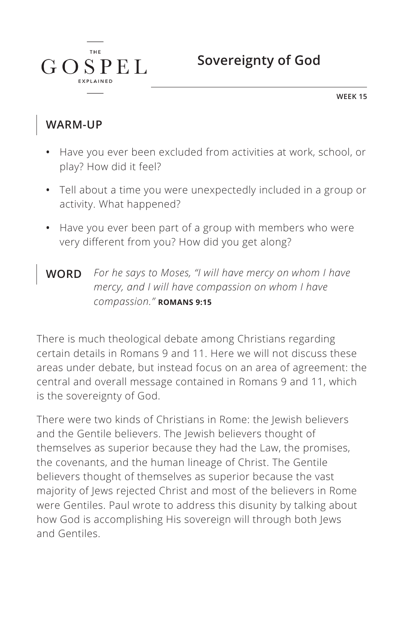

**WEEK 15**

## **WARM-UP**

 $G \Omega$ 

**THE** 

**SPEL** 

- **•** Have you ever been excluded from activities at work, school, or play? How did it feel?
- **•** Tell about a time you were unexpectedly included in a group or activity. What happened?
- **•** Have you ever been part of a group with members who were very different from you? How did you get along?
- **WORD** *For he says to Moses, "I will have mercy on whom I have mercy, and I will have compassion on whom I have compassion." ^***ROMANS 9:15**

There is much theological debate among Christians regarding certain details in Romans 9 and 11. Here we will not discuss these areas under debate, but instead focus on an area of agreement: the central and overall message contained in Romans 9 and 11, which is the sovereignty of God.

There were two kinds of Christians in Rome: the Jewish believers and the Gentile believers. The Jewish believers thought of themselves as superior because they had the Law, the promises, the covenants, and the human lineage of Christ. The Gentile believers thought of themselves as superior because the vast majority of Jews rejected Christ and most of the believers in Rome were Gentiles. Paul wrote to address this disunity by talking about how God is accomplishing His sovereign will through both Jews and Gentiles.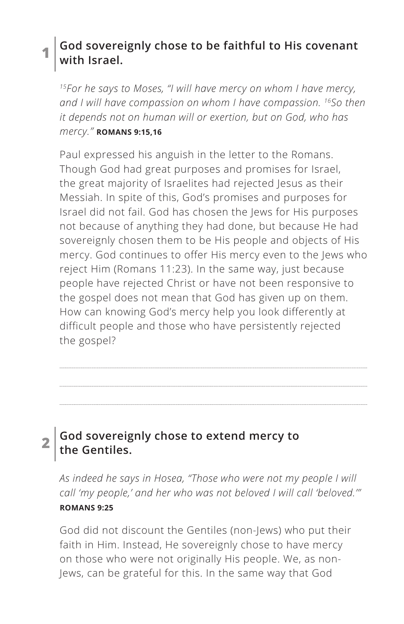### **1 God sovereignly chose to be faithful to His covenant with Israel.**

*15For he says to Moses, "I will have mercy on whom I have mercy, and I will have compassion on whom I have compassion. 16So then it depends not on human will or exertion, but on God, who has mercy." ^***ROMANS 9:15,16**

Paul expressed his anguish in the letter to the Romans. Though God had great purposes and promises for Israel, the great majority of Israelites had rejected Jesus as their Messiah. In spite of this, God's promises and purposes for Israel did not fail. God has chosen the Jews for His purposes not because of anything they had done, but because He had sovereignly chosen them to be His people and objects of His mercy. God continues to offer His mercy even to the Jews who reject Him (Romans 11:23). In the same way, just because people have rejected Christ or have not been responsive to the gospel does not mean that God has given up on them. How can knowing God's mercy help you look differently at difficult people and those who have persistently rejected the gospel?

# **2 God sovereignly chose to extend mercy to the Gentiles.**

*As indeed he says in Hosea, "Those who were not my people I will call 'my people,' and her who was not beloved I will call 'beloved.'" ^***ROMANS 9:25**

God did not discount the Gentiles (non-Jews) who put their faith in Him. Instead, He sovereignly chose to have mercy on those who were not originally His people. We, as non-Jews, can be grateful for this. In the same way that God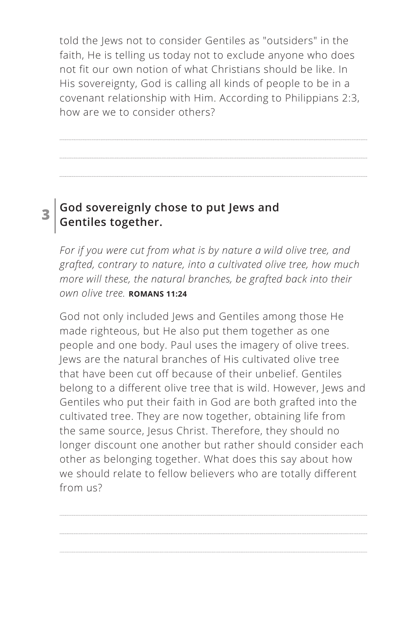told the Jews not to consider Gentiles as "outsiders" in the faith, He is telling us today not to exclude anyone who does not fit our own notion of what Christians should be like. In His sovereignty, God is calling all kinds of people to be in a covenant relationship with Him. According to Philippians 2:3, how are we to consider others?

#### **3 God sovereignly chose to put Jews and Gentiles together.**

*For if you were cut from what is by nature a wild olive tree, and grafted, contrary to nature, into a cultivated olive tree, how much more will these, the natural branches, be grafted back into their own olive tree. ^***ROMANS 11:24**

God not only included Jews and Gentiles among those He made righteous, but He also put them together as one people and one body. Paul uses the imagery of olive trees. Jews are the natural branches of His cultivated olive tree that have been cut off because of their unbelief. Gentiles belong to a different olive tree that is wild. However, Jews and Gentiles who put their faith in God are both grafted into the cultivated tree. They are now together, obtaining life from the same source, Jesus Christ. Therefore, they should no longer discount one another but rather should consider each other as belonging together. What does this say about how we should relate to fellow believers who are totally different from us?